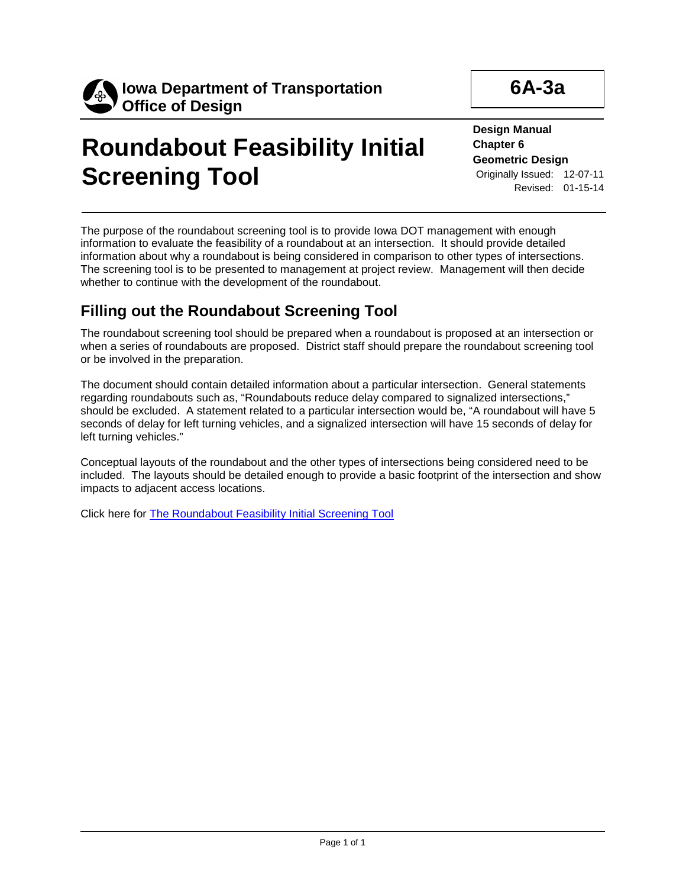

## **Roundabout Feasibility Initial Screening Tool**

**6A-3a**

**Design Manual Chapter 6 Geometric Design** Originally Issued: 12-07-11 Revised: 01-15-14

The purpose of the roundabout screening tool is to provide Iowa DOT management with enough information to evaluate the feasibility of a roundabout at an intersection. It should provide detailed information about why a roundabout is being considered in comparison to other types of intersections. The screening tool is to be presented to management at project review. Management will then decide whether to continue with the development of the roundabout.

## **Filling out the Roundabout Screening Tool**

The roundabout screening tool should be prepared when a roundabout is proposed at an intersection or when a series of roundabouts are proposed. District staff should prepare the roundabout screening tool or be involved in the preparation.

The document should contain detailed information about a particular intersection. General statements regarding roundabouts such as, "Roundabouts reduce delay compared to signalized intersections," should be excluded. A statement related to a particular intersection would be, "A roundabout will have 5 seconds of delay for left turning vehicles, and a signalized intersection will have 15 seconds of delay for left turning vehicles."

Conceptual layouts of the roundabout and the other types of intersections being considered need to be included. The layouts should be detailed enough to provide a basic footprint of the intersection and show impacts to adjacent access locations.

Click here for The Roundabout Feasibility Initial Screening Tool